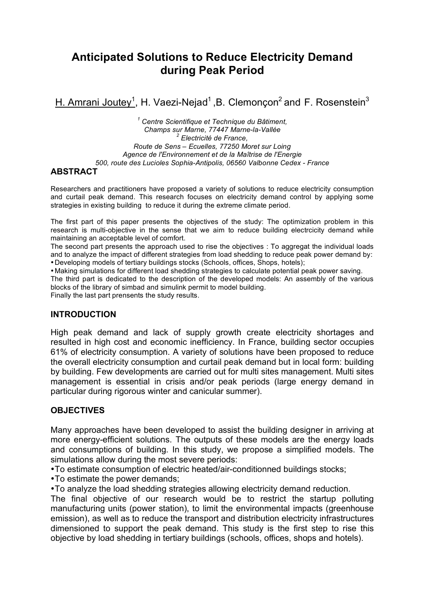# **Anticipated Solutions to Reduce Electricity Demand during Peak Period**

H. Amrani Joutey<sup>1</sup>, H. Vaezi-Nejad<sup>1</sup>, B. Clemonçon<sup>2</sup> and F. Rosenstein<sup>3</sup>

*<sup>1</sup> Centre Scientifique et Technique du Bâtiment, Champs sur Marne, 77447 Marne-la-Vallée <sup>2</sup> Electricité de France, Route de Sens – Ecuelles, 77250 Moret sur Loing Agence de l'Environnement et de la Maîtrise de l'Energie 500, route des Lucioles Sophia-Antipolis, 06560 Valbonne Cedex - France*

### **ABSTRACT**

Researchers and practitioners have proposed a variety of solutions to reduce electricity consumption and curtail peak demand. This research focuses on electricity demand control by applying some strategies in existing building to reduce it during the extreme climate period.

The first part of this paper presents the objectives of the study: The optimization problem in this research is multi-objective in the sense that we aim to reduce building electrcicity demand while maintaining an acceptable level of comfort.

The second part presents the approach used to rise the objectives : To aggregat the individual loads and to analyze the impact of different strategies from load shedding to reduce peak power demand by: •Developing models of tertiary buildings stocks (Schools, offices, Shops, hotels);

•Making simulations for different load shedding strategies to calculate potential peak power saving.

The third part is dedicated to the description of the developed models: An assembly of the various blocks of the library of simbad and simulink permit to model building.

Finally the last part prensents the study results.

#### **INTRODUCTION**

High peak demand and lack of supply growth create electricity shortages and resulted in high cost and economic inefficiency. In France, building sector occupies 61% of electricity consumption. A variety of solutions have been proposed to reduce the overall electricity consumption and curtail peak demand but in local form: building by building. Few developments are carried out for multi sites management. Multi sites management is essential in crisis and/or peak periods (large energy demand in particular during rigorous winter and canicular summer).

### **OBJECTIVES**

Many approaches have been developed to assist the building designer in arriving at more energy-efficient solutions. The outputs of these models are the energy loads and consumptions of building. In this study, we propose a simplified models. The simulations allow during the most severe periods:

•To estimate consumption of electric heated/air-conditionned buildings stocks;

•To estimate the power demands;

•To analyze the load shedding strategies allowing electricity demand reduction.

The final objective of our research would be to restrict the startup polluting manufacturing units (power station), to limit the environmental impacts (greenhouse emission), as well as to reduce the transport and distribution electricity infrastructures dimensioned to support the peak demand. This study is the first step to rise this objective by load shedding in tertiary buildings (schools, offices, shops and hotels).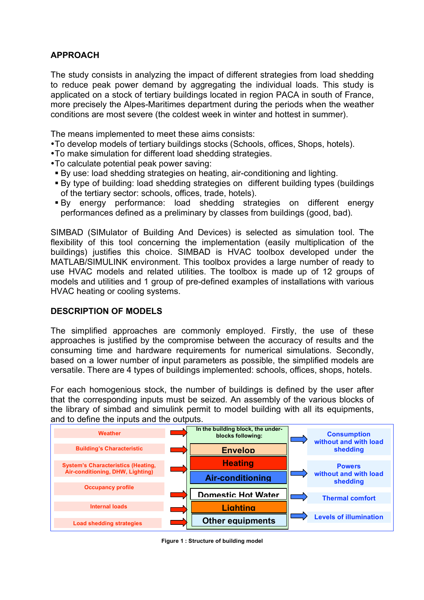## **APPROACH**

The study consists in analyzing the impact of different strategies from load shedding to reduce peak power demand by aggregating the individual loads. This study is applicated on a stock of tertiary buildings located in region PACA in south of France, more precisely the Alpes-Maritimes department during the periods when the weather conditions are most severe (the coldest week in winter and hottest in summer).

The means implemented to meet these aims consists:

- •To develop models of tertiary buildings stocks (Schools, offices, Shops, hotels).
- •To make simulation for different load shedding strategies.
- •To calculate potential peak power saving:
- By use: load shedding strategies on heating, air-conditioning and lighting.
- By type of building: load shedding strategies on different building types (buildings of the tertiary sector: schools, offices, trade, hotels).
- By energy performance: load shedding strategies on different energy performances defined as a preliminary by classes from buildings (good, bad).

SIMBAD (SIMulator of Building And Devices) is selected as simulation tool. The flexibility of this tool concerning the implementation (easily multiplication of the buildings) justifies this choice. SIMBAD is HVAC toolbox developed under the MATLAB/SIMULINK environment. This toolbox provides a large number of ready to use HVAC models and related utilities. The toolbox is made up of 12 groups of models and utilities and 1 group of pre-defined examples of installations with various HVAC heating or cooling systems.

#### **DESCRIPTION OF MODELS**

The simplified approaches are commonly employed. Firstly, the use of these approaches is justified by the compromise between the accuracy of results and the consuming time and hardware requirements for numerical simulations. Secondly, based on a lower number of input parameters as possible, the simplified models are versatile. There are 4 types of buildings implemented: schools, offices, shops, hotels.

For each homogenious stock, the number of buildings is defined by the user after that the corresponding inputs must be seized. An assembly of the various blocks of the library of simbad and simulink permit to model building with all its equipments, and to define the inputs and the outputs.



**Figure 1 : Structure of building model**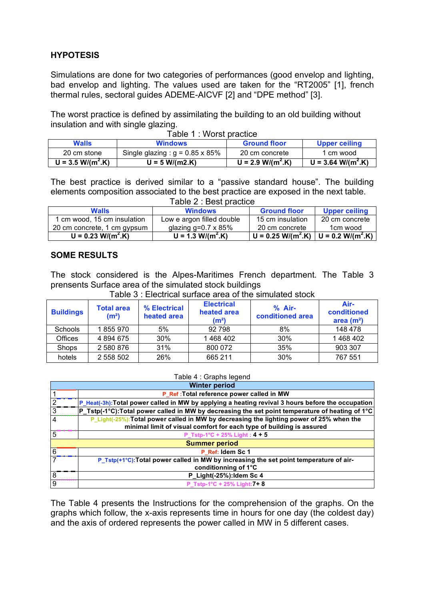### **HYPOTESIS**

Simulations are done for two categories of performances (good envelop and lighting, bad envelop and lighting. The values used are taken for the "RT2005" [1], french thermal rules, sectoral guides ADEME-AICVF [2] and "DPE method" [3].

The worst practice is defined by assimilating the building to an old building without insulation and with single glazing. Table 1 : Worst practice

| <b>Walls</b>        | abic <b>1.</b> WOISE practice<br><b>Windows</b> | <b>Ground floor</b> | <b>Upper ceiling</b> |
|---------------------|-------------------------------------------------|---------------------|----------------------|
| 20 cm stone         | Single glazing : $g = 0.85 \times 85\%$         | 20 cm concrete      | 1 cm wood            |
| $U = 3.5 W/(m^2.K)$ | U = 5 W/(m2.K)                                  | $U = 2.9 W/(m^2.K)$ | $U = 3.64 W/(m^2.K)$ |

The best practice is derived similar to a "passive standard house". The building elements composition associated to the best practice are exposed in the next table. Table 2 : Best practice

| TADIC Z . DESL PIACIICE          |                            |                                                                            |                      |  |  |  |  |  |  |  |  |  |
|----------------------------------|----------------------------|----------------------------------------------------------------------------|----------------------|--|--|--|--|--|--|--|--|--|
| <b>Walls</b>                     | <b>Windows</b>             | <b>Ground floor</b>                                                        | <b>Upper ceiling</b> |  |  |  |  |  |  |  |  |  |
| 1 cm wood, 15 cm insulation      | Low e argon filled double  | 15 cm insulation                                                           | 20 cm concrete       |  |  |  |  |  |  |  |  |  |
| 20 cm concrete, 1 cm gypsum      | glazing g=0.7 $\times$ 85% | 20 cm concrete                                                             | 1cm wood             |  |  |  |  |  |  |  |  |  |
| $U = 0.23$ W/(m <sup>2</sup> .K) | $U = 1.3 W/(m^2.K)$        | $\boxed{U = 0.25 \text{ W/(m}^2 \text{.K})}$ U = 0.2 W/(m <sup>2</sup> .K) |                      |  |  |  |  |  |  |  |  |  |

#### **SOME RESULTS**

The stock considered is the Alpes-Maritimes French department. The Table 3 prensents Surface area of the simulated stock buildings

| <b>Buildings</b> | Total area<br>(m <sup>2</sup> ) | % Electrical<br>heated area | <b>Electrical</b><br>heated area<br>(m <sup>2</sup> ) | $%$ Air-<br>conditioned area | Air-<br>conditioned<br>area $(m2)$ |
|------------------|---------------------------------|-----------------------------|-------------------------------------------------------|------------------------------|------------------------------------|
| <b>Schools</b>   | 1855970                         | 5%                          | 92798                                                 | 8%                           | 148 478                            |
| Offices          | 4 8 9 4 6 7 5                   | 30%                         | 1468402                                               | 30%                          | 1468402                            |
| <b>Shops</b>     | 2 580 876                       | 31%                         | 800 072                                               | 35%                          | 903 307                            |
| hotels           | 2 558 502                       | 26%                         | 665 211                                               | 30%                          | 767 551                            |

Table 3 : Electrical surface area of the simulated stock

#### Table 4 : Graphs legend

| <b>Winter period</b> |                                                                                                   |  |  |  |  |  |  |  |  |
|----------------------|---------------------------------------------------------------------------------------------------|--|--|--|--|--|--|--|--|
|                      | P_Ref : Total reference power called in MW                                                        |  |  |  |  |  |  |  |  |
|                      | P_Heat(-3h): Total power called in MW by applying a heating revival 3 hours before the occupation |  |  |  |  |  |  |  |  |
|                      | P_Tstp(-1°C):Total power called in MW by decreasing the set point temperature of heating of 1°C   |  |  |  |  |  |  |  |  |
|                      | P_Light(-25%): Total power called in MW by decreasing the lighting power of 25% when the          |  |  |  |  |  |  |  |  |
|                      | minimal limit of visual comfort for each type of building is assured                              |  |  |  |  |  |  |  |  |
| 5                    | P_Tstp-1°C + 25% Light: $4 + 5$                                                                   |  |  |  |  |  |  |  |  |
|                      | <b>Summer period</b>                                                                              |  |  |  |  |  |  |  |  |
| 6                    | P Ref: Idem Sc 1                                                                                  |  |  |  |  |  |  |  |  |
|                      | P_Tstp(+1°C): Total power called in MW by increasing the set point temperature of air-            |  |  |  |  |  |  |  |  |
|                      | conditionning of 1°C                                                                              |  |  |  |  |  |  |  |  |
|                      | P_Light(-25%): Idem Sc 4                                                                          |  |  |  |  |  |  |  |  |
| 9                    | P Tstp-1°C + 25% Light: 7+8                                                                       |  |  |  |  |  |  |  |  |

The Table 4 presents the Instructions for the comprehension of the graphs. On the graphs which follow, the x-axis represents time in hours for one day (the coldest day) and the axis of ordered represents the power called in MW in 5 different cases.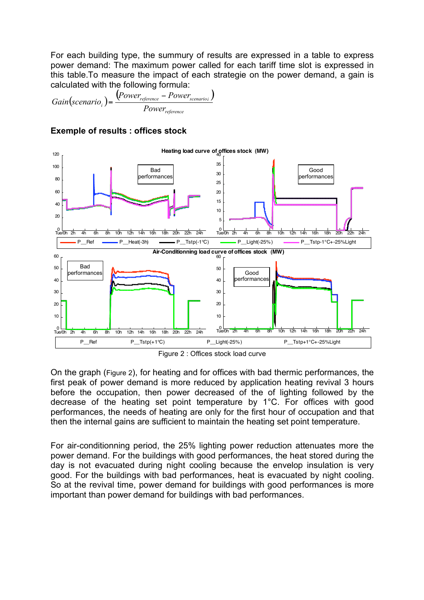For each building type, the summury of results are expressed in a table to express power demand: The maximum power called for each tariff time slot is expressed in this table.To measure the impact of each strategie on the power demand, a gain is calculated with the following formula:

 $\left( scenario_{i} \right) = \frac{\left( Power_{reference} - Power_{scenarioi} \right)}{Power_{scenarioi}}$ *reference reference*  $\overline{\phantom{a}}$  **s** *scenario<sub>i</sub> <sup>i</sup> Power Power Power*  $Gain(scenario) = \frac{(Power_{reference} -$ =



#### **Exemple of results : offices stock**

Figure 2 : Offices stock load curve

On the graph (Figure 2), for heating and for offices with bad thermic performances, the first peak of power demand is more reduced by application heating revival 3 hours before the occupation, then power decreased of the of lighting followed by the decrease of the heating set point temperature by 1°C. For offices with good performances, the needs of heating are only for the first hour of occupation and that then the internal gains are sufficient to maintain the heating set point temperature.

For air-conditionning period, the 25% lighting power reduction attenuates more the power demand. For the buildings with good performances, the heat stored during the day is not evacuated during night cooling because the envelop insulation is very good. For the buildings with bad performances, heat is evacuated by night cooling. So at the revival time, power demand for buildings with good performances is more important than power demand for buildings with bad performances.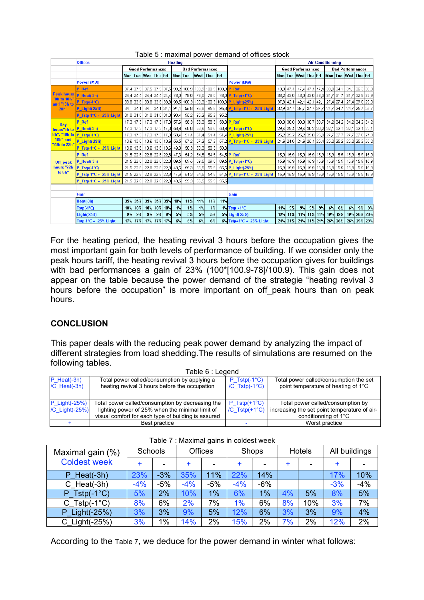|                                  | <b>Offices</b>            |     | <b>Heating</b> |                                    |    |             |         |                                                 |                |       | <b>Air-Conditionning</b> |                                                   |                          |             |                     |     |    |                                 |                         |                                                        |                  |       |
|----------------------------------|---------------------------|-----|----------------|------------------------------------|----|-------------|---------|-------------------------------------------------|----------------|-------|--------------------------|---------------------------------------------------|--------------------------|-------------|---------------------|-----|----|---------------------------------|-------------------------|--------------------------------------------------------|------------------|-------|
|                                  |                           |     |                | <b>Good Performances</b>           |    |             |         | <b>Bad Performances</b>                         |                |       |                          |                                                   | <b>Good Performances</b> |             |                     |     |    |                                 | <b>Bad Performances</b> |                                                        |                  |       |
|                                  |                           |     |                | Mon Tue Wed Thu Fri                |    |             | Mon Tue |                                                 | <b>Wed</b> Thu |       | lFri                     |                                                   |                          |             | Mon Tue Wed Thu Fri |     |    |                                 |                         | Mon Tue Wed Thu Fri                                    |                  |       |
|                                  | Power (MW)                |     |                |                                    |    |             |         |                                                 |                |       |                          | Power (MW)                                        |                          |             |                     |     |    |                                 |                         |                                                        |                  |       |
|                                  | P Ref                     |     | $37,4$ 37.5    |                                    |    |             |         |                                                 |                |       |                          | 37,5 37,5 37,5 39,2 100,9 100,9 100,9 100,9 P Ref |                          | 43.0 47.4   |                     |     |    |                                 |                         | 47,4 47,4 47,4 33,8 34,1 34,1 36,3 36,3                |                  |       |
| <b>Peak hours</b><br>"8h to 10h" | $P$ Heat(-3h)             |     | 24,4 24,4      |                                    |    |             |         | 24,4 24,4 24,4 78,0 78,0                        | 78,0           | -78,0 |                          | $78.0$ P Tstp $\leftrightarrow$ 1°C               |                          |             |                     |     |    |                                 |                         | 38,2 43,0 43,0 43,0 43,0 31,7 31,7 31,7 32,9 32,9      |                  |       |
| and "18h to                      | $P_T$ Tstp $(-1^\circ C)$ |     |                |                                    |    |             |         | 33,8 33,8 33,8 33,8 33,8 98,5 100,3 100,3 100,3 |                |       |                          | 100,3 P Light(-25%)                               |                          | $37,8$ 42,1 |                     |     |    |                                 |                         | 42,1 42,1 42,1 27,4 27,4 27,4 29,0 29,0                |                  |       |
| $20h$ "                          | <b>P</b> Light(-25%)      |     |                | 34,1 34,1 34,1 34,1 34,1 34,1      |    |             |         | 95,8                                            | 95,8           | 95,8  |                          | 95,8 P Tstp+1°C + -25% Light                      |                          | $32,9$ 37,7 |                     |     |    |                                 |                         | 37,7 37,7 37,7 24,7 24,7 24,7 24,7 25,7 25,7           |                  |       |
|                                  | P Tstp-1°C + -25% Light   |     |                | 31,0 31,0 31,0 31,0 31,0 31,0 93,4 |    |             |         | 95,2                                            | 95,2           | 95,2  | 95,2                     |                                                   |                          |             |                     |     |    |                                 |                         |                                                        |                  |       |
| Day                              | P Ref                     |     |                | 17,3 17,3 17,3 17,3 17,3 57,6      |    |             |         | 58,3                                            | 58,3           | 58,3  |                          | 58.3P Ref                                         |                          |             |                     |     |    |                                 |                         | 30,0 30,0 30,0 30,7 30,7 34,2 34,2 34,2 34,2 34,2 34,2 |                  |       |
| hours"6h to                      | P Heat(-3h)               |     |                | 17,3 17,3 17,3 17,3 17,3 56,6      |    |             |         | 58,6                                            | 58,6           | 58,6  |                          | 58.6 P Tstp(+1°C)                                 |                          | 29,4 29,4   |                     |     |    | 29,4 30,2 30,2 32,1 32,1        |                         |                                                        | $32,1$ 32,1 32,1 |       |
|                                  | 8h", "10h to P_Tstp(-1°C) |     |                | 17,3 17,3 17,3 17,3 17,3 50,4      |    |             |         | 51,4                                            | 51,4           | 51,4  |                          | 51.4 P Light(-25%)                                |                          |             |                     |     |    |                                 |                         | 25,2 25,2 25,2 25,8 25,8 27,7 27,7 27,7 27,8 27,8      |                  |       |
| 18h" and<br>"20h to 22h"         | P_Light(-25%)             |     |                | 13,6 13,6 13,6 13,6 13,6 56,5      |    |             |         | 57,2                                            | 57,2           | 57,2  |                          | $57.2$ P Tstp+1°C + -25% Light                    |                          |             |                     |     |    |                                 |                         |                                                        |                  |       |
|                                  | P Tstp-1°C + -25% Light   |     |                | 13,6 13,6 13,6 13,6 13,6 49,3      |    |             |         | 50,3                                            | 50,3           | 50,3  | 50,3                     |                                                   |                          |             |                     |     |    |                                 |                         |                                                        |                  |       |
|                                  | P Ref                     |     |                | 21,5 22,8 22,8 22,8 22,8 47,6      |    |             |         | 54,2                                            | 54,5           | 54,5  |                          | 54.5 P Ref                                        |                          |             |                     |     |    |                                 |                         |                                                        |                  |       |
| Off peak                         | $P$ Heat(-3h)             |     |                | 21,5 22,8 22,8 22,8 22,8 89,5      |    |             |         | 89,5                                            | 89,5           | 89,5  |                          | $89.5$ P_Tstp(+1°C)                               |                          |             |                     |     |    |                                 |                         |                                                        |                  |       |
| hours "22h                       | $P$ Tstp $(-1^{\circ}C)$  |     |                | 21,5 22,8 22,8 22,8 22,8 48,5      |    |             |         | 55,3                                            | 55,5           | 55,5  |                          | 55,5 P Light(-25%)                                |                          |             |                     |     |    |                                 |                         |                                                        |                  |       |
| to 6h"                           | P Tstp-1°C + -25% Light   |     |                | 21,5 22,8 22,8 22,8 22,8 47,6      |    |             |         | 54,3                                            | 54,5           | 54,5  |                          | $54.5$ P Tstp+1°C + -25% Light                    |                          |             |                     |     |    |                                 |                         |                                                        |                  |       |
|                                  | P Tstp-1 $°C + 25%$ Light |     |                | 21,5 22,8 22,8 22,8 22,8 48,5      |    |             |         | 55,3                                            | 55,5           | 55,5  | 55,5                     |                                                   |                          |             |                     |     |    |                                 |                         |                                                        |                  |       |
|                                  |                           |     |                |                                    |    |             |         |                                                 |                |       |                          |                                                   |                          |             |                     |     |    |                                 |                         |                                                        |                  |       |
|                                  | <b>Gain</b>               |     |                |                                    |    |             |         |                                                 |                |       |                          | Gain                                              |                          |             |                     |     |    |                                 |                         |                                                        |                  |       |
|                                  | Heat(-3h)                 |     | 35% 35%        |                                    |    | 35% 35% 35% | 10%     | 11%                                             | 11%            | 11%   | 11%                      |                                                   |                          |             |                     |     |    |                                 |                         |                                                        |                  |       |
|                                  | $Tstp(-1^{\circ}C)$       | 10% | 10%            |                                    |    | 10% 10% 10% | 1%      | 1%                                              | 1%             | 1%    |                          | $1\%$ Tstp +1°C                                   | 11%                      | - 9%        | 9%                  | -9% | 9% | 6%                              | 6%                      | 6%                                                     |                  | 9% 9% |
|                                  | Light(-25%)               | 9%  | 9%             | 9%                                 | 9% | 9%          | 5%      | 5%                                              | 5%             | 5%    |                          | 5% Light(-25%)                                    |                          |             |                     |     |    | 12% 11% 11% 11% 11% 19% 19%     |                         |                                                        | 19% 20% 20%      |       |
|                                  | Tstp-1 $°C + 25%$ Light   |     |                | 17% 17% 17% 17% 17%                |    |             | 6%      | 6%                                              | 6%             | 6%    |                          | 6% Tstp+1°C + -25% Light                          |                          |             |                     |     |    | 24% 21% 21% 21% 21% 21% 26% 26% |                         | 26% 29% 29%                                            |                  |       |

Table 5 : maximal power demand of offices stock

For the heating period, the heating revival 3 hours before the occupation gives the most important gain for both levels of performance of building. If we consider only the peak hours tariff, the heating revival 3 hours before the occupation gives for buildings with bad performances a gain of 23% (100\*[100.9-78]/100.9). This gain does not appear on the table because the power demand of the strategie "heating revival 3 hours before the occupation" is more important on off peak hours than on peak hours.

## **CONCLUSION**

This paper deals with the reducing peak power demand by analyzing the impact of different strategies from load shedding.The results of simulations are resumed on the following tables. Table 6 : Legend

|                                    | Table 6 : Legeng                                                                                                                                           |                                                    |                                                                                                           |
|------------------------------------|------------------------------------------------------------------------------------------------------------------------------------------------------------|----------------------------------------------------|-----------------------------------------------------------------------------------------------------------|
| $P$ Heat(-3h)<br>$/C$ Heat $(-3h)$ | Total power called/consumption by applying a<br>heating revival 3 hours before the occupation                                                              | $P$ Tstp $(-1^{\circ}C)$<br>/C $Tstp(-1^{\circ}C)$ | Total power called/consumption the set<br>point temperature of heating of 1°C                             |
| $P$ Light(-25%)<br>/C Light(-25%)  | Total power called/consumption by decreasing the<br>lighting power of 25% when the minimal limit of<br>visual comfort for each type of building is assured | $P$ Tstp $(+1^{\circ}C)$<br>/C $Tstp(+1^{\circ}C)$ | Total power called/consumption by<br>increasing the set point temperature of air-<br>conditionning of 1°C |
|                                    | Best practice                                                                                                                                              |                                                    | Worst practice                                                                                            |

| Maximal gain (%)    | Schools |       | <b>Offices</b> |                          | Shops     |       |    | <b>Hotels</b> | All buildings |       |  |  |  |
|---------------------|---------|-------|----------------|--------------------------|-----------|-------|----|---------------|---------------|-------|--|--|--|
| <b>Coldest week</b> | ÷.      | ۰     | $\ddot{}$      | $\overline{\phantom{0}}$ | $\ddot{}$ |       | ÷  | ٠             | $\ddot{}$     |       |  |  |  |
| $P$ Heat(-3h)       | 23%     | $-3%$ | 35%            | 11%                      | 22%       | 14%   |    |               | 17%           | 10%   |  |  |  |
| $C$ Heat(-3h)       | $-4%$   | $-5%$ | $-4%$          | $-5%$                    | $-4%$     | $-6%$ |    |               | $-3%$         | $-4%$ |  |  |  |
| $P_Tstp(-1°C)$      | 5%      | 2%    | 10%            | 1%                       | 6%        | $1\%$ | 4% | 5%            | 8%            | 5%    |  |  |  |
| $C_Tstp(-1°C)$      | 8%      | 6%    | 2%             | 7%                       | $1\%$     | 6%    | 8% | 10%           | 3%            | 7%    |  |  |  |
| P Light(-25%)       | 3%      | 3%    | 9%             | 5%                       | 12%       | 6%    | 3% | 3%            | 9%            | 4%    |  |  |  |
| C Light(-25%)       | 3%      | $1\%$ | 14%            | 2%                       | 15%       | 2%    | 7% | 2%            | 12%           | 2%    |  |  |  |

#### Table 7 : Maximal gains in coldest week

According to the Table 7, we deduce for the power demand in winter what follows: